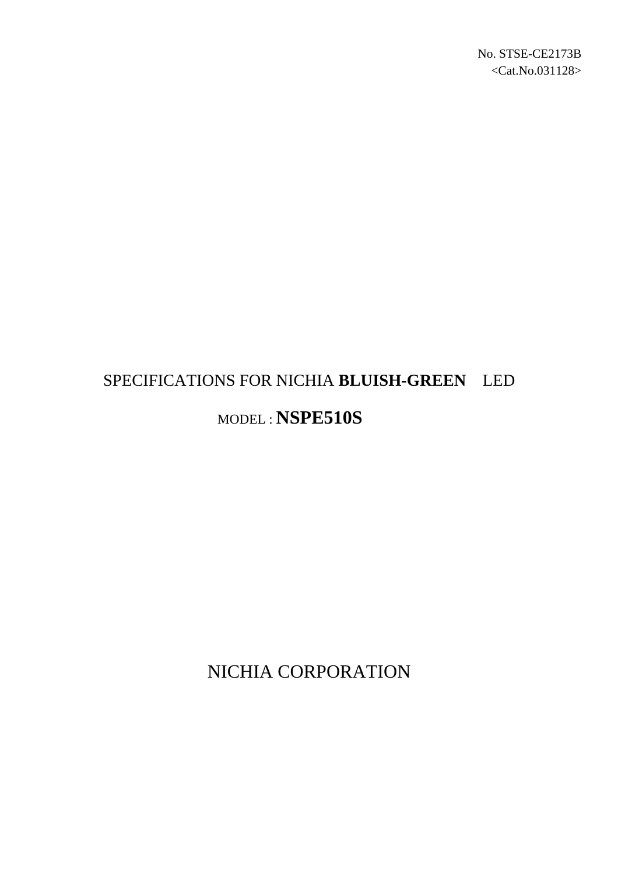# SPECIFICATIONS FOR NICHIA **BLUISH-GREEN** LED MODEL : **NSPE510S**

NICHIA CORPORATION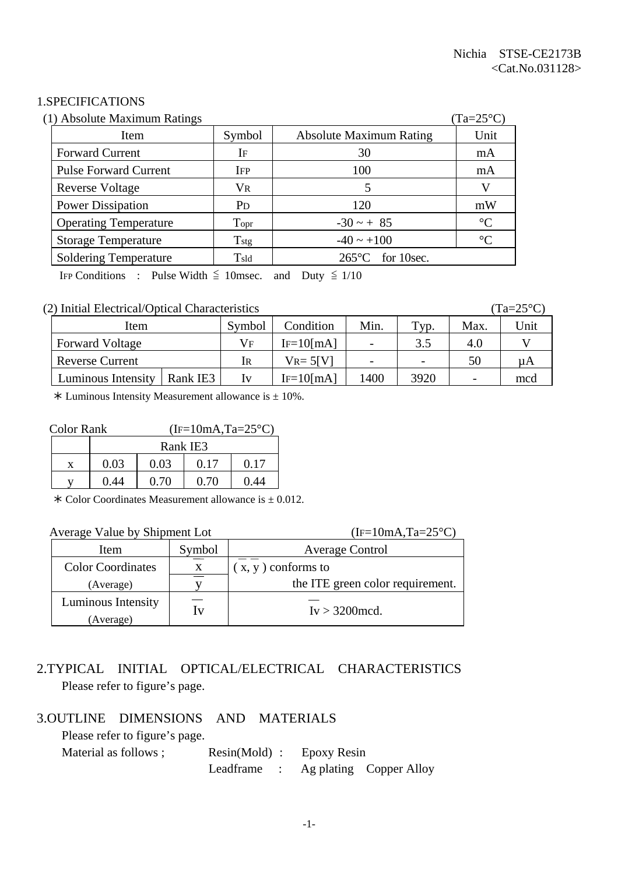#### 1.SPECIFICATIONS

| (1) Absolute Maximum Ratings |                |                                | $(Ta=25^{\circ}C)$ |
|------------------------------|----------------|--------------------------------|--------------------|
| Item                         | Symbol         | <b>Absolute Maximum Rating</b> | Unit               |
| <b>Forward Current</b>       | IF             | 30                             | mA                 |
| <b>Pulse Forward Current</b> | <b>IFP</b>     | 100                            | mA                 |
| Reverse Voltage              | <b>VR</b>      |                                |                    |
| <b>Power Dissipation</b>     | P <sub>D</sub> | 120                            | mW                 |
| <b>Operating Temperature</b> | Topr           | $-30 - + 85$                   | $\rm ^{\circ}C$    |
| <b>Storage Temperature</b>   | $T_{\rm stg}$  | $-40 \sim +100$                | $\rm ^{\circ}C$    |
| <b>Soldering Temperature</b> | Tsld           | $265^{\circ}$ C for 10sec.     |                    |

IFP Conditions : Pulse Width  $\leq$  10msec. and Duty  $\leq$  1/10

#### (2) Initial Electrical/Optical Characteristics (Ta=25°C)

| Item                   |          | Symbol | Condition      | Min. | Typ.                     | Max. | Unit                   |
|------------------------|----------|--------|----------------|------|--------------------------|------|------------------------|
| <b>Forward Voltage</b> |          | Vғ     | $IF=10$ [mA]   |      | 3.5                      | 4.0  |                        |
| <b>Reverse Current</b> |          | lr     | $V_{R} = 5[V]$ |      | $\overline{\phantom{0}}$ | 50   | $\mathsf{u}\mathsf{A}$ |
| Luminous Intensity     | Rank IE3 |        | $IF=10$ [mA]   | 400  | 3920                     |      | mcd                    |

 $*$  Luminous Intensity Measurement allowance is  $\pm$  10%.

| <b>Color Rank</b> |      | $(IF=10mA, Ta=25°C)$ |      |      |  |
|-------------------|------|----------------------|------|------|--|
|                   |      | Rank IE3             |      |      |  |
| X                 | 0.03 | 0.03                 | 0.17 | 0.17 |  |
|                   | 0.44 | 0.70                 | 0.70 | 0.44 |  |

 $*$  Color Coordinates Measurement allowance is  $\pm$  0.012.

| Average Value by Shipment Lot   |    | $(IF=10mA, Ta=25°C)$             |  |  |
|---------------------------------|----|----------------------------------|--|--|
| Symbol<br>Item                  |    | Average Control                  |  |  |
| <b>Color Coordinates</b><br>X   |    | $(x, y)$ conforms to             |  |  |
| (Average)                       |    | the ITE green color requirement. |  |  |
| Luminous Intensity<br>(Average) | Iv | $Iv > 3200$ mcd.                 |  |  |

# 2.TYPICAL INITIAL OPTICAL/ELECTRICAL CHARACTERISTICS Please refer to figure's page.

#### 3.OUTLINE DIMENSIONS AND MATERIALS

Please refer to figure's page.

| Material as follows ; | $Resin(Mold)$ : Epoxy Resin         |  |  |
|-----------------------|-------------------------------------|--|--|
|                       | Leadframe : Ag plating Copper Alloy |  |  |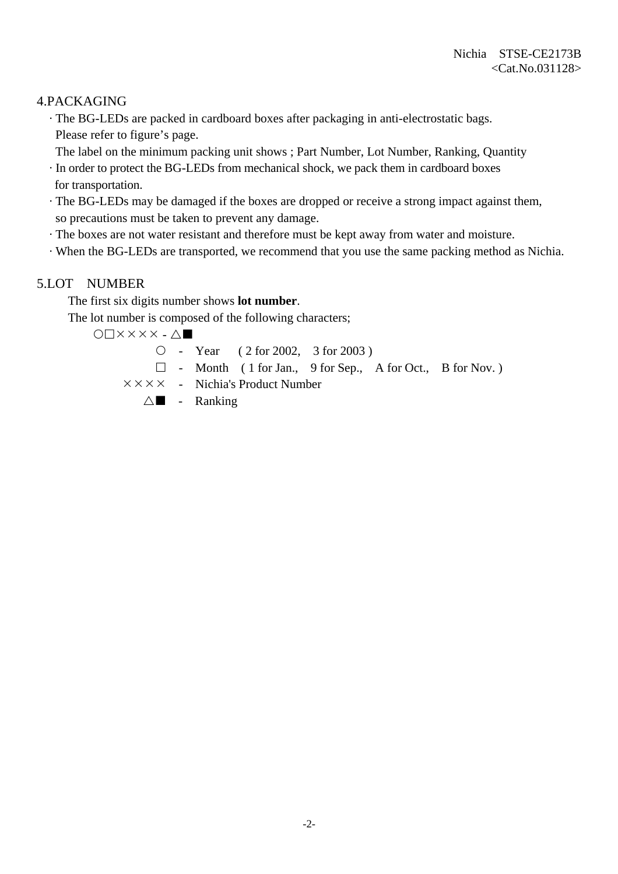## 4.PACKAGING

 · The BG-LEDs are packed in cardboard boxes after packaging in anti-electrostatic bags. Please refer to figure's page.

The label on the minimum packing unit shows ; Part Number, Lot Number, Ranking, Quantity

- · In order to protect the BG-LEDs from mechanical shock, we pack them in cardboard boxes for transportation.
- · The BG-LEDs may be damaged if the boxes are dropped or receive a strong impact against them, so precautions must be taken to prevent any damage.
- · The boxes are not water resistant and therefore must be kept away from water and moisture.
- · When the BG-LEDs are transported, we recommend that you use the same packing method as Nichia.

## 5.LOT NUMBER

The first six digits number shows **lot number**.

The lot number is composed of the following characters;

 $O\Box$  $X$  $X$  $X$  $X$  $\bot$  $\Delta$  $\blacksquare$ 

 $\circ$  - Year ( 2 for 2002, 3 for 2003)

- $\Box$  Month ( 1 for Jan., 9 for Sep., A for Oct., B for Nov.)
- $\times \times \times \times$  Nichia's Product Number

 $\triangle$  - Ranking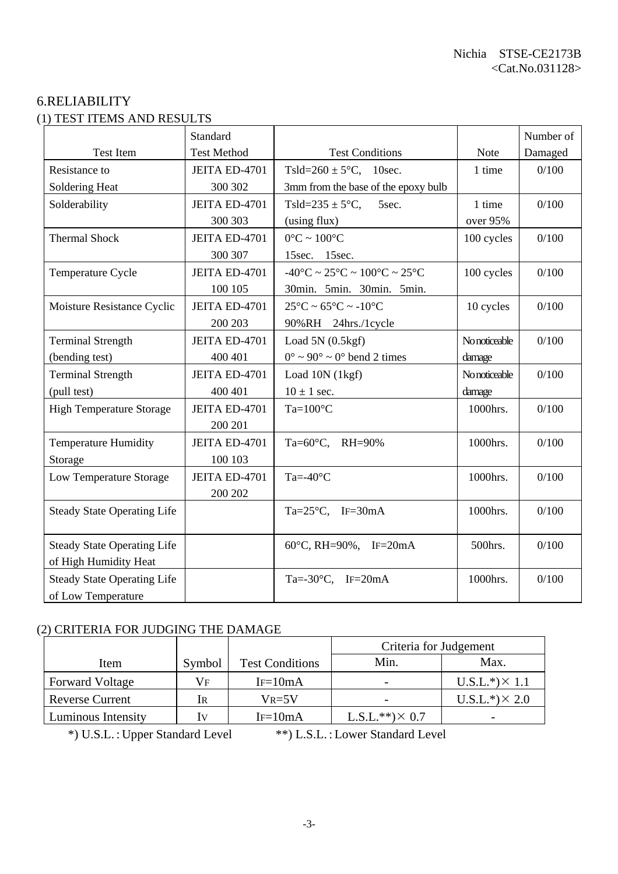# 6.RELIABILITY (1) TEST ITEMS AND RESULTS

|                                    | Standard           |                                                                        |               | Number of |
|------------------------------------|--------------------|------------------------------------------------------------------------|---------------|-----------|
| <b>Test Item</b>                   | <b>Test Method</b> | <b>Test Conditions</b>                                                 | Note          | Damaged   |
| Resistance to                      | JEITA ED-4701      | Tsld= $260 \pm 5^{\circ}$ C, 10sec.                                    | 1 time        | 0/100     |
| Soldering Heat                     | 300 302            | 3mm from the base of the epoxy bulb                                    |               |           |
| Solderability                      | JEITA ED-4701      | Tsld=235 $\pm$ 5°C,<br>5sec.                                           | 1 time        | 0/100     |
|                                    | 300 303            | (using flux)                                                           | over 95%      |           |
| <b>Thermal Shock</b>               | JEITA ED-4701      | $0^{\circ}$ C ~ $100^{\circ}$ C                                        | 100 cycles    | 0/100     |
|                                    | 300 307            | 15sec. 15sec.                                                          |               |           |
| Temperature Cycle                  | JEITA ED-4701      | $-40^{\circ}$ C ~ 25 $^{\circ}$ C ~ 100 $^{\circ}$ C ~ 25 $^{\circ}$ C | 100 cycles    | 0/100     |
|                                    | 100 105            | 30min. 5min. 30min. 5min.                                              |               |           |
| Moisture Resistance Cyclic         | JEITA ED-4701      | $25^{\circ}$ C ~ 65 $^{\circ}$ C ~ -10 $^{\circ}$ C                    | 10 cycles     | 0/100     |
|                                    | 200 203            | 90%RH 24hrs./1cycle                                                    |               |           |
| <b>Terminal Strength</b>           | JEITA ED-4701      | Load $5N(0.5kgf)$                                                      | No noticeable | 0/100     |
| (bending test)                     | 400 401            | $0^{\circ} \sim 90^{\circ} \sim 0^{\circ}$ bend 2 times                | damage        |           |
| <b>Terminal Strength</b>           | JEITA ED-4701      | Load 10N (1kgf)                                                        | No noticeable | 0/100     |
| (pull test)                        | 400 401            | $10 \pm 1$ sec.                                                        | damage        |           |
| <b>High Temperature Storage</b>    | JEITA ED-4701      | $Ta=100^{\circ}C$                                                      | 1000hrs.      | 0/100     |
|                                    | 200 201            |                                                                        |               |           |
| <b>Temperature Humidity</b>        | JEITA ED-4701      | Ta=60°C, RH=90%                                                        | 1000hrs.      | 0/100     |
| Storage                            | 100 103            |                                                                        |               |           |
| Low Temperature Storage            | JEITA ED-4701      | Ta=- $40^{\circ}$ C                                                    | 1000hrs.      | 0/100     |
|                                    | 200 202            |                                                                        |               |           |
| <b>Steady State Operating Life</b> |                    | Ta= $25^{\circ}$ C, IF= $30$ mA                                        | 1000hrs.      | 0/100     |
|                                    |                    |                                                                        |               |           |
| <b>Steady State Operating Life</b> |                    | 60°C, RH=90%, IF=20mA                                                  | 500hrs.       | 0/100     |
| of High Humidity Heat              |                    |                                                                        |               |           |
| <b>Steady State Operating Life</b> |                    | Ta=-30 $\degree$ C, IF=20mA                                            | 1000hrs.      | 0/100     |
| of Low Temperature                 |                    |                                                                        |               |           |

## (2) CRITERIA FOR JUDGING THE DAMAGE

|                                          |                         |            | Criteria for Judgement |                       |
|------------------------------------------|-------------------------|------------|------------------------|-----------------------|
| <b>Test Conditions</b><br>Symbol<br>Item |                         | Min.       | Max.                   |                       |
| <b>Forward Voltage</b>                   | Vf                      | $IF=10mA$  |                        | $U.S.L.*) \times 1.1$ |
| <b>Reverse Current</b>                   | IR                      | $V_{R=5}V$ |                        | $U.S.L.*) \times 2.0$ |
| Luminous Intensity                       | $\mathbf{I} \mathbf{V}$ | $IF=10mA$  | $L.S.L.**)\times 0.7$  |                       |

\*) U.S.L. : Upper Standard Level \*\*) L.S.L. : Lower Standard Level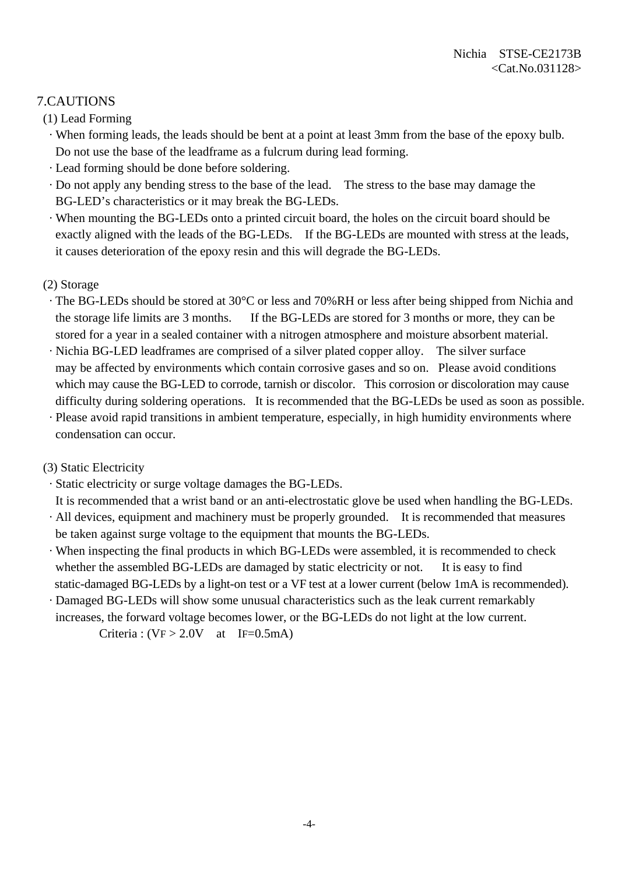# 7.CAUTIONS

(1) Lead Forming

- · When forming leads, the leads should be bent at a point at least 3mm from the base of the epoxy bulb. Do not use the base of the leadframe as a fulcrum during lead forming.
- · Lead forming should be done before soldering.
- · Do not apply any bending stress to the base of the lead. The stress to the base may damage the BG-LED's characteristics or it may break the BG-LEDs.
- · When mounting the BG-LEDs onto a printed circuit board, the holes on the circuit board should be exactly aligned with the leads of the BG-LEDs. If the BG-LEDs are mounted with stress at the leads, it causes deterioration of the epoxy resin and this will degrade the BG-LEDs.

#### (2) Storage

- · The BG-LEDs should be stored at 30°C or less and 70%RH or less after being shipped from Nichia and the storage life limits are 3 months. If the BG-LEDs are stored for 3 months or more, they can be stored for a year in a sealed container with a nitrogen atmosphere and moisture absorbent material.
- · Nichia BG-LED leadframes are comprised of a silver plated copper alloy. The silver surface may be affected by environments which contain corrosive gases and so on. Please avoid conditions which may cause the BG-LED to corrode, tarnish or discolor. This corrosion or discoloration may cause difficulty during soldering operations. It is recommended that the BG-LEDs be used as soon as possible.
- · Please avoid rapid transitions in ambient temperature, especially, in high humidity environments where condensation can occur.

## (3) Static Electricity

· Static electricity or surge voltage damages the BG-LEDs.

 It is recommended that a wrist band or an anti-electrostatic glove be used when handling the BG-LEDs. · All devices, equipment and machinery must be properly grounded. It is recommended that measures be taken against surge voltage to the equipment that mounts the BG-LEDs.

- · When inspecting the final products in which BG-LEDs were assembled, it is recommended to check whether the assembled BG-LEDs are damaged by static electricity or not. It is easy to find static-damaged BG-LEDs by a light-on test or a VF test at a lower current (below 1mA is recommended).
- · Damaged BG-LEDs will show some unusual characteristics such as the leak current remarkably increases, the forward voltage becomes lower, or the BG-LEDs do not light at the low current.

Criteria :  $(VF > 2.0V$  at IF=0.5mA)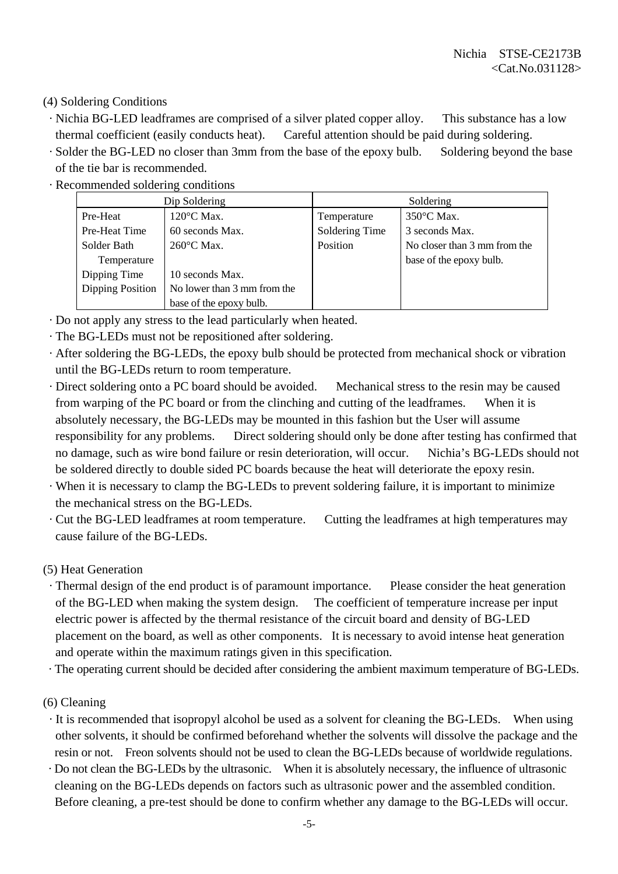## (4) Soldering Conditions

- · Nichia BG-LED leadframes are comprised of a silver plated copper alloy. This substance has a low thermal coefficient (easily conducts heat). Careful attention should be paid during soldering.
- · Solder the BG-LED no closer than 3mm from the base of the epoxy bulb. Soldering beyond the base of the tie bar is recommended.
- · Recommended soldering conditions

|                                                 | Dip Soldering           | Soldering      |                              |  |
|-------------------------------------------------|-------------------------|----------------|------------------------------|--|
| Pre-Heat                                        | $120^{\circ}$ C Max.    | Temperature    | $350^{\circ}$ C Max.         |  |
| Pre-Heat Time                                   | 60 seconds Max.         | Soldering Time | 3 seconds Max.               |  |
| Solder Bath                                     | $260^{\circ}$ C Max.    | Position       | No closer than 3 mm from the |  |
| Temperature                                     |                         |                | base of the epoxy bulb.      |  |
| Dipping Time                                    | 10 seconds Max.         |                |                              |  |
| Dipping Position<br>No lower than 3 mm from the |                         |                |                              |  |
|                                                 | base of the epoxy bulb. |                |                              |  |

- · Do not apply any stress to the lead particularly when heated.
- · The BG-LEDs must not be repositioned after soldering.
- · After soldering the BG-LEDs, the epoxy bulb should be protected from mechanical shock or vibration until the BG-LEDs return to room temperature.
- · Direct soldering onto a PC board should be avoided. Mechanical stress to the resin may be caused from warping of the PC board or from the clinching and cutting of the leadframes. When it is absolutely necessary, the BG-LEDs may be mounted in this fashion but the User will assume responsibility for any problems. Direct soldering should only be done after testing has confirmed that no damage, such as wire bond failure or resin deterioration, will occur. Nichia's BG-LEDs should not be soldered directly to double sided PC boards because the heat will deteriorate the epoxy resin.
- · When it is necessary to clamp the BG-LEDs to prevent soldering failure, it is important to minimize the mechanical stress on the BG-LEDs.
- · Cut the BG-LED leadframes at room temperature. Cutting the leadframes at high temperatures may cause failure of the BG-LEDs.

#### (5) Heat Generation

- · Thermal design of the end product is of paramount importance. Please consider the heat generation of the BG-LED when making the system design. The coefficient of temperature increase per input electric power is affected by the thermal resistance of the circuit board and density of BG-LED placement on the board, as well as other components. It is necessary to avoid intense heat generation and operate within the maximum ratings given in this specification.
- · The operating current should be decided after considering the ambient maximum temperature of BG-LEDs.
- (6) Cleaning
- · It is recommended that isopropyl alcohol be used as a solvent for cleaning the BG-LEDs. When using other solvents, it should be confirmed beforehand whether the solvents will dissolve the package and the resin or not. Freon solvents should not be used to clean the BG-LEDs because of worldwide regulations.
- · Do not clean the BG-LEDs by the ultrasonic. When it is absolutely necessary, the influence of ultrasonic cleaning on the BG-LEDs depends on factors such as ultrasonic power and the assembled condition. Before cleaning, a pre-test should be done to confirm whether any damage to the BG-LEDs will occur.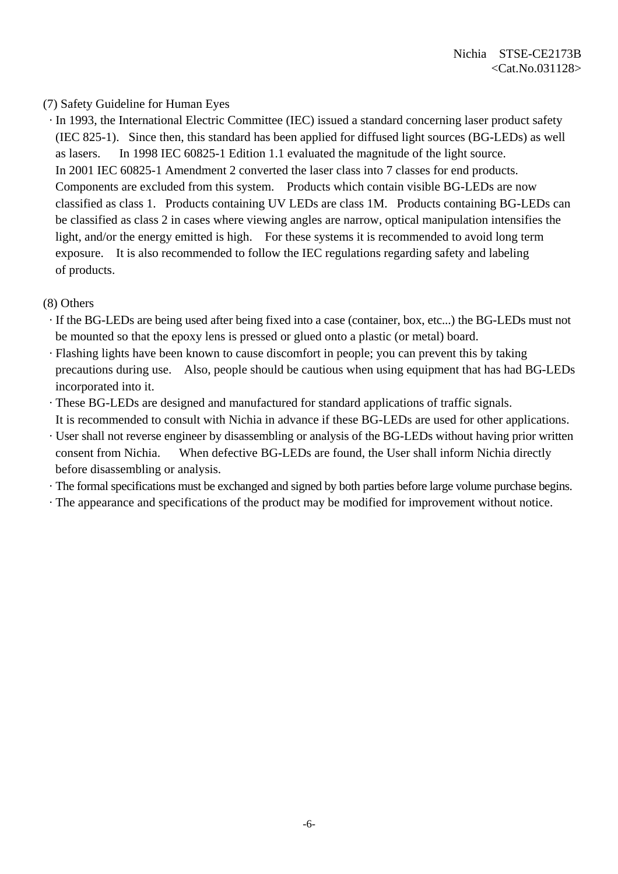### (7) Safety Guideline for Human Eyes

 · In 1993, the International Electric Committee (IEC) issued a standard concerning laser product safety (IEC 825-1). Since then, this standard has been applied for diffused light sources (BG-LEDs) as well as lasers. In 1998 IEC 60825-1 Edition 1.1 evaluated the magnitude of the light source. In 2001 IEC 60825-1 Amendment 2 converted the laser class into 7 classes for end products. Components are excluded from this system. Products which contain visible BG-LEDs are now classified as class 1. Products containing UV LEDs are class 1M. Products containing BG-LEDs can be classified as class 2 in cases where viewing angles are narrow, optical manipulation intensifies the light, and/or the energy emitted is high. For these systems it is recommended to avoid long term exposure. It is also recommended to follow the IEC regulations regarding safety and labeling of products.

#### (8) Others

- · If the BG-LEDs are being used after being fixed into a case (container, box, etc...) the BG-LEDs must not be mounted so that the epoxy lens is pressed or glued onto a plastic (or metal) board.
- · Flashing lights have been known to cause discomfort in people; you can prevent this by taking precautions during use. Also, people should be cautious when using equipment that has had BG-LEDs incorporated into it.
- · These BG-LEDs are designed and manufactured for standard applications of traffic signals. It is recommended to consult with Nichia in advance if these BG-LEDs are used for other applications.
- · User shall not reverse engineer by disassembling or analysis of the BG-LEDs without having prior written consent from Nichia. When defective BG-LEDs are found, the User shall inform Nichia directly before disassembling or analysis.
- · The formal specifications must be exchanged and signed by both parties before large volume purchase begins.
- · The appearance and specifications of the product may be modified for improvement without notice.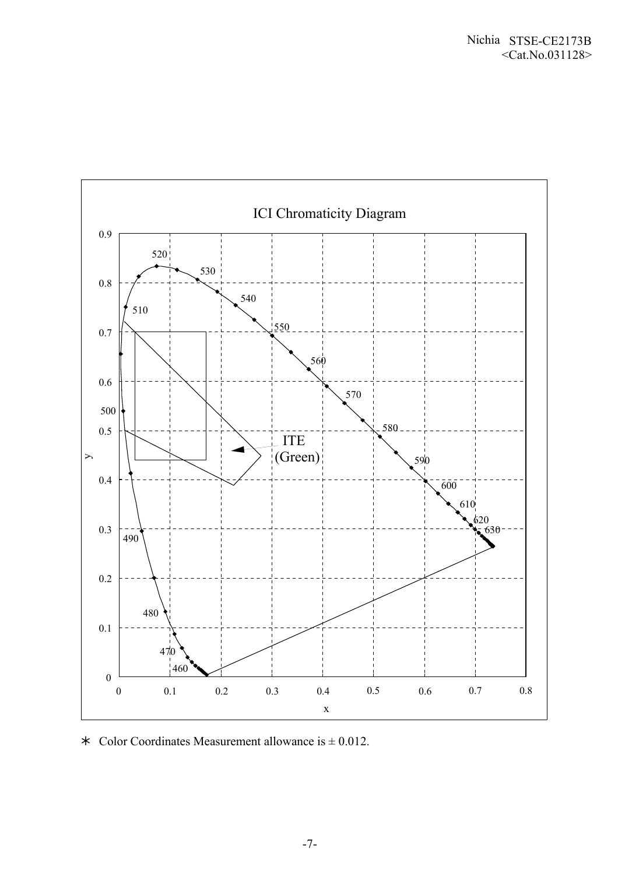

 $\ast$  Color Coordinates Measurement allowance is  $\pm$  0.012.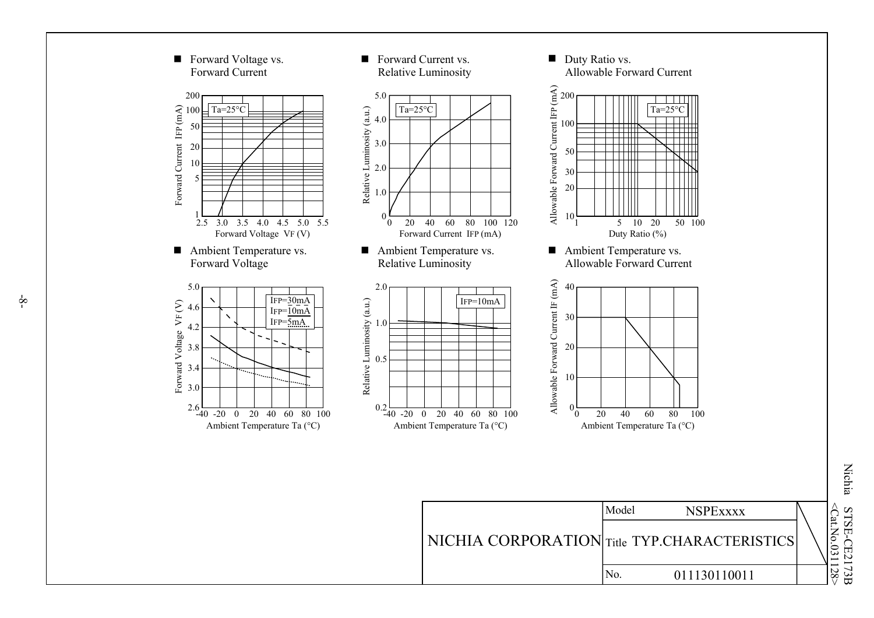

 $\bigotimes$ .No. 031128 > Nichia S TSE - CE2173 B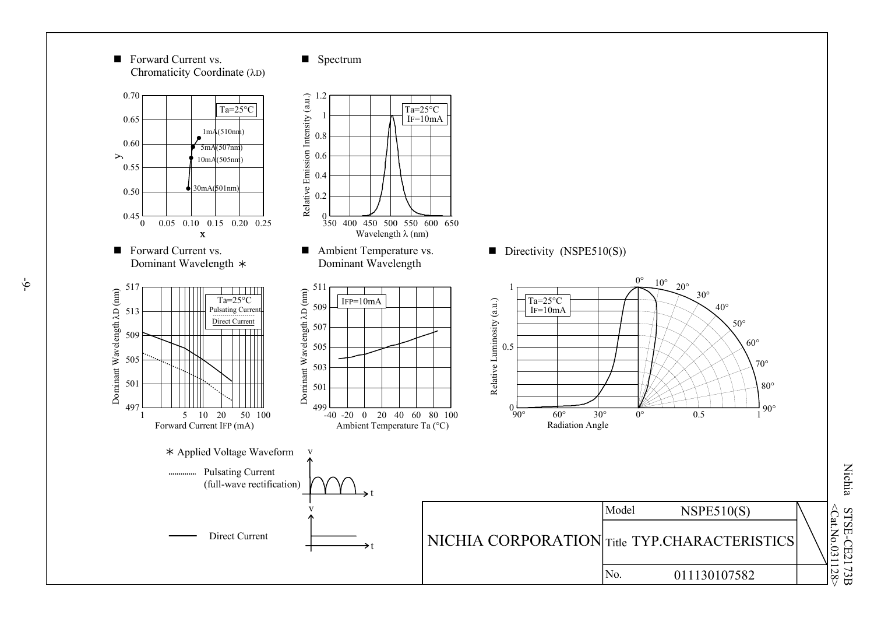

031128 > Nichia S TSE - CE2173 B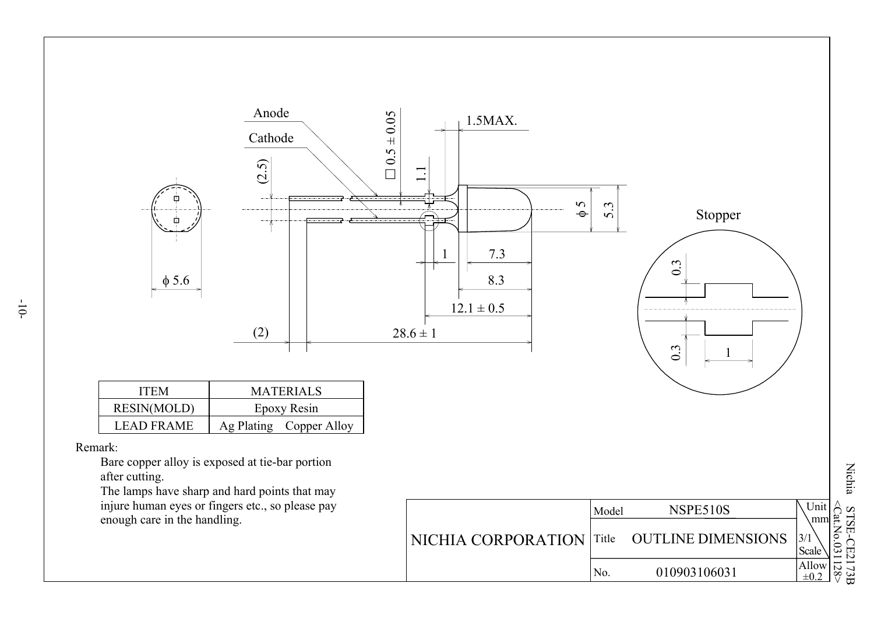

Nichia STSE-CE2173  $\Xi$  $\langle Cat. No. 0$ 31128 >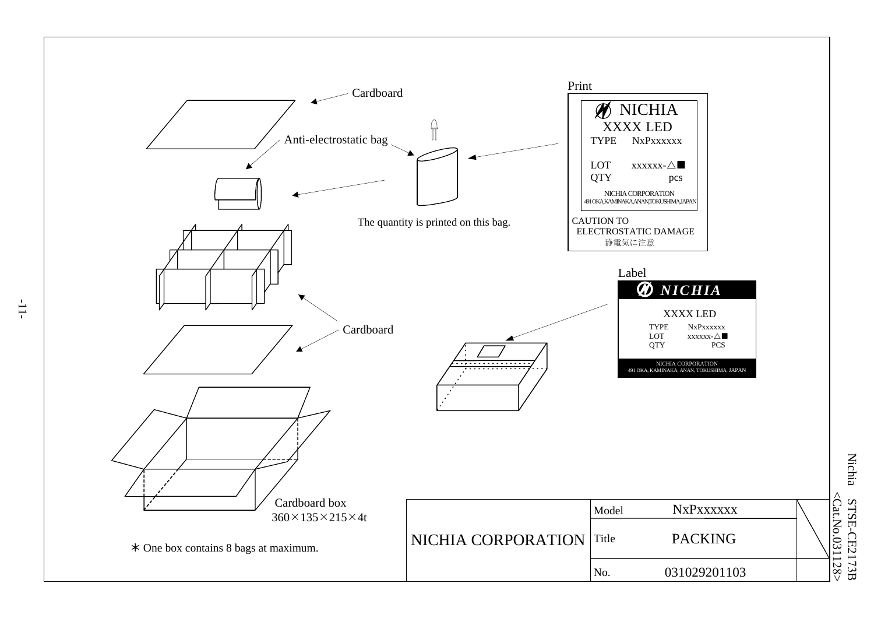

**Nichia** Nichia STSE-C  $\leq$ Cat.No.031128> <Cat.No.031128 E21 7 3 B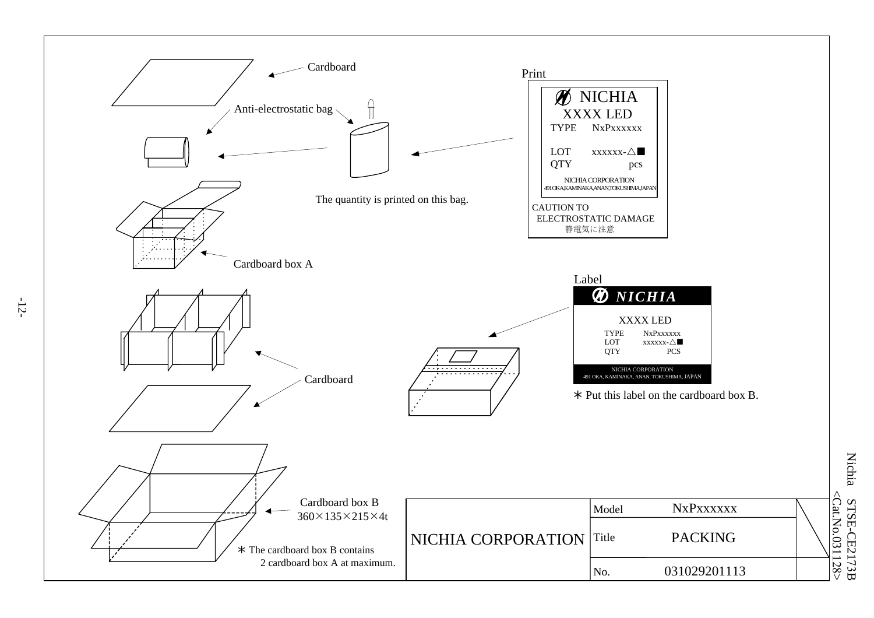

**Nichia** Nichia STSE-C  $\leq$ Cat.No.031128>  $<$ Cat.No.031128 E21 7 3 B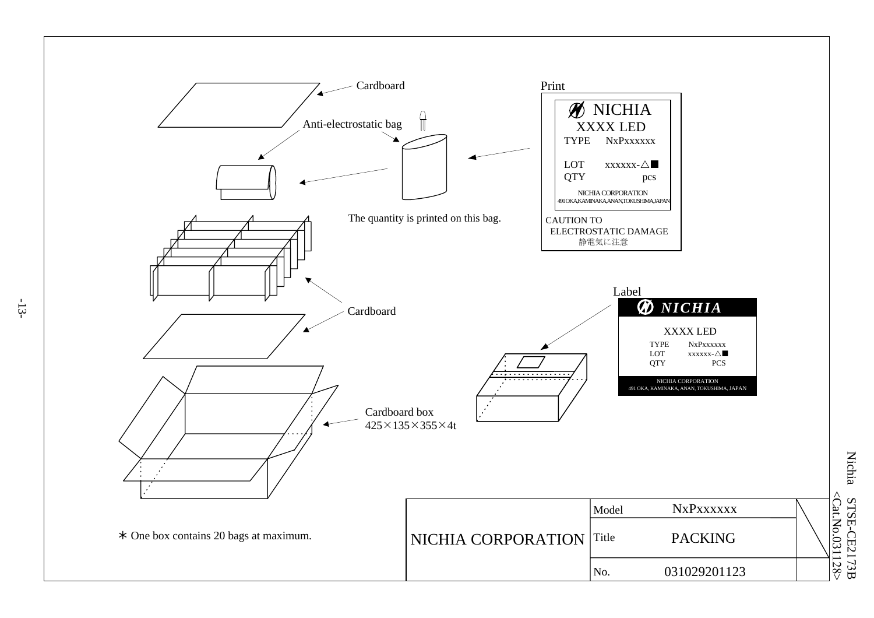

**Nichia** Nichia STSE-C  $<$ Cat.No.031128 E 217 3 B